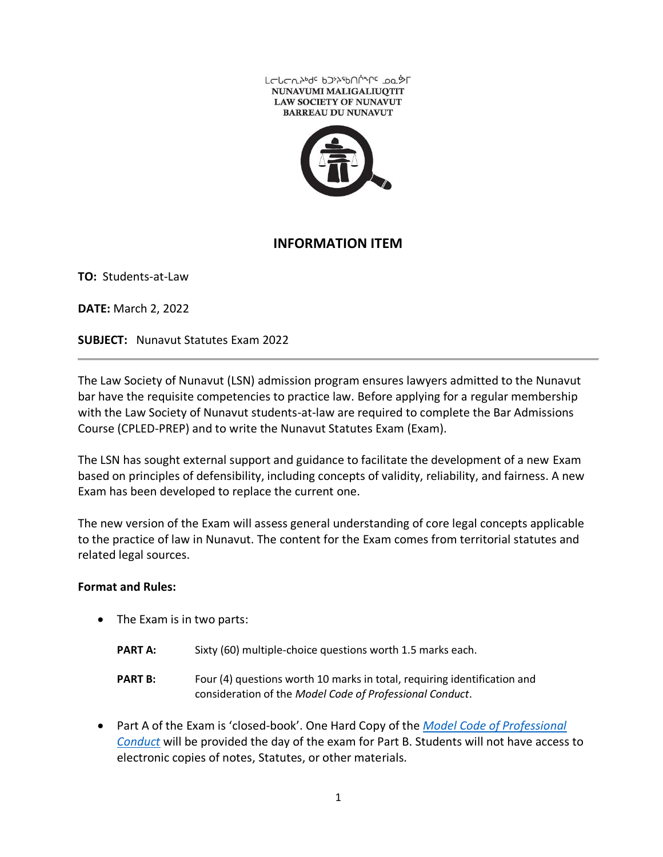



## **INFORMATION ITEM**

**TO:** Students-at-Law

**DATE:** March 2, 2022

**SUBJECT:** Nunavut Statutes Exam 2022

The Law Society of Nunavut (LSN) admission program ensures lawyers admitted to the Nunavut bar have the requisite competencies to practice law. Before applying for a regular membership with the Law Society of Nunavut students-at-law are required to complete the Bar Admissions Course (CPLED-PREP) and to write the Nunavut Statutes Exam (Exam).

The LSN has sought external support and guidance to facilitate the development of a new Exam based on principles of defensibility, including concepts of validity, reliability, and fairness. A new Exam has been developed to replace the current one.

The new version of the Exam will assess general understanding of core legal concepts applicable to the practice of law in Nunavut. The content for the Exam comes from territorial statutes and related legal sources.

## **Format and Rules:**

- The Exam is in two parts:
	- **PART A:** Sixty (60) multiple-choice questions worth 1.5 marks each.
	- **PART B:** Four (4) questions worth 10 marks in total, requiring identification and consideration of the *Model Code of Professional Conduct*.
- Part A of the Exam is 'closed-book'. One Hard Copy of the *[Model Code of Professional](https://www.lawsociety.nu.ca/sites/default/files/NU%20Model%20Code%20of%20Conduct%20%20FINAL%20May%202016%20adopted%20Nov%207%202016.pdf)  [Conduct](https://www.lawsociety.nu.ca/sites/default/files/NU%20Model%20Code%20of%20Conduct%20%20FINAL%20May%202016%20adopted%20Nov%207%202016.pdf)* will be provided the day of the exam for Part B. Students will not have access to electronic copies of notes, Statutes, or other materials.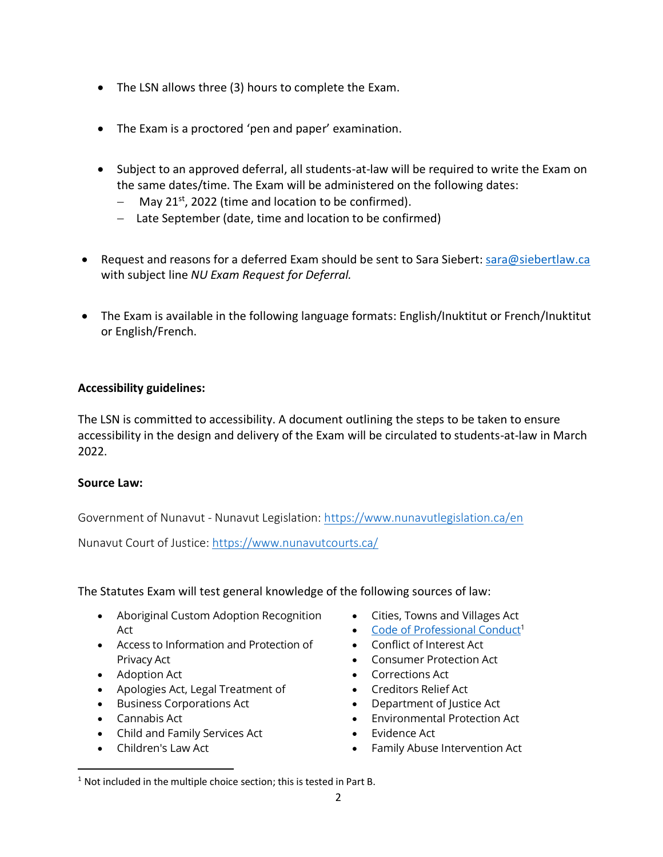- The LSN allows three (3) hours to complete the Exam.
- The Exam is a proctored 'pen and paper' examination.
- Subject to an approved deferral, all students-at-law will be required to write the Exam on the same dates/time. The Exam will be administered on the following dates:
	- − May 21<sup>st</sup>, 2022 (time and location to be confirmed).
	- − Late September (date, time and location to be confirmed)
- Request and reasons for a deferred Exam should be sent to Sara Siebert: [sara@siebertlaw.ca](mailto:sara@siebertlaw.ca) with subject line *NU Exam Request for Deferral.*
- The Exam is available in the following language formats: English/Inuktitut or French/Inuktitut or English/French.

## **Accessibility guidelines:**

The LSN is committed to accessibility. A document outlining the steps to be taken to ensure accessibility in the design and delivery of the Exam will be circulated to students-at-law in March 2022.

## **Source Law:**

Government of Nunavut - Nunavut Legislation:<https://www.nunavutlegislation.ca/en>

Nunavut Court of Justice:<https://www.nunavutcourts.ca/>

The Statutes Exam will test general knowledge of the following sources of law:

- Aboriginal Custom Adoption Recognition Act
- Access to Information and Protection of Privacy Act
- Adoption Act
- Apologies Act, Legal Treatment of
- Business Corporations Act
- Cannabis Act
- Child and Family Services Act
- Children's Law Act
- Cities, Towns and Villages Act
- [Code of Professional Conduct](https://www.lawsociety.nu.ca/sites/default/files/NU%20Model%20Code%20of%20Conduct%20%20FINAL%20May%202016%20adopted%20Nov%207%202016.pdf)<sup>1</sup>
- Conflict of Interest Act
- Consumer Protection Act
- Corrections Act
- Creditors Relief Act
- Department of Justice Act
- Environmental Protection Act
- Evidence Act
- Family Abuse Intervention Act

<sup>&</sup>lt;sup>1</sup> Not included in the multiple choice section; this is tested in Part B.